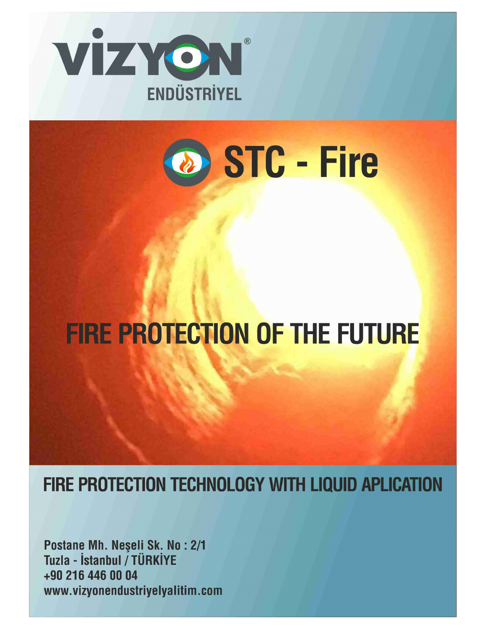



# **FIRE PROTECTION OF THE FUTURE**

FIRE PROTECTION TECHNOLOGY WITH LIQUID APLICATION

Postane Mh. Neşeli Sk. No: 2/1 Tuzla - İstanbul / TÜRKİYE +90 216 446 00 04 www.vizyonendustriyelyalitim.com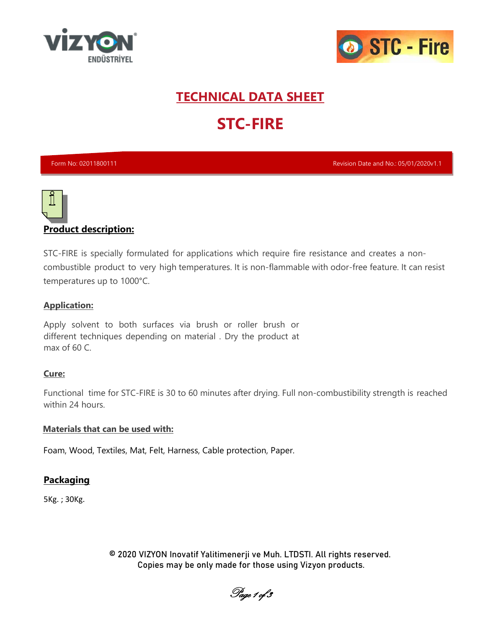



## **TECHNICAL DATA SHEET STC-FIRE**

Form No: 02011800111 Revision Date and No.: 05/01/2020v1.1



#### **Product description:**

STC-FIRE is specially formulated for applications which require fire resistance and creates a noncombustible product to very high temperatures. It is non-flammable with odor-free feature. It can resist temperatures up to 1000°C.

#### **Application:**

Apply solvent to both surfaces via brush or roller brush or different techniques depending on material . Dry the product at max of 60 C.

#### **Cure:**

Functional time for STC-FIRE is 30 to 60 minutes after drying. Full non-combustibility strength is reached within 24 hours.

#### **Materials that can be used with:**

Foam, Wood, Textiles, Mat, Felt, Harness, Cable protection, Paper.

#### **Packaging**

5Kg. ; 30Kg.

© 2020 VIZYON Inovatif Yalitimenerji ve Muh. LTDSTI. All rights reserved. Copies may be only made for those using Vizyon products.

Page 1 of 3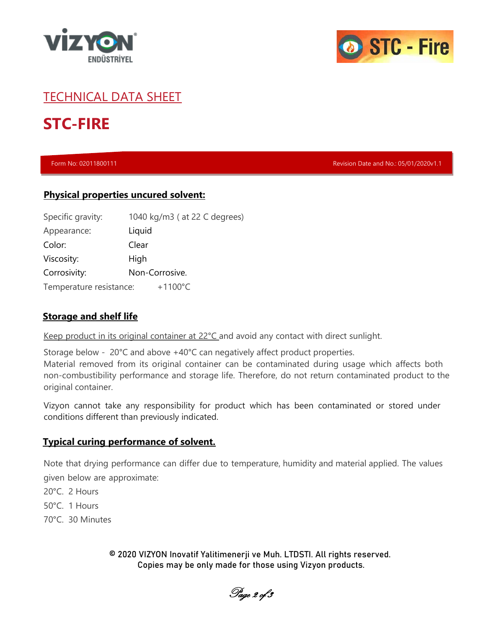



#### TECHNICAL DATA SHEET

### **STC-FIRE**

Form No: 02011800111 Revision Date and No.: 05/01/2020v1.1

#### **Physical properties uncured solvent:**

| Specific gravity:       | 1040 kg/m3 ( at 22 C degrees) |
|-------------------------|-------------------------------|
| Appearance:             | Liquid                        |
| Color:                  | Clear                         |
| Viscosity:              | High                          |
| Corrosivity:            | Non-Corrosive.                |
| Temperature resistance: | $+1100^{\circ}$ C             |

#### **Storage and shelf life**

Keep product in its original container at 22°C and avoid any contact with direct sunlight.

Storage below - 20°C and above +40°C can negatively affect product properties. Material removed from its original container can be contaminated during usage which affects both non-combustibility performance and storage life. Therefore, do not return contaminated product to the original container.

Vizyon cannot take any responsibility for product which has been contaminated or stored under conditions different than previously indicated.

#### **Typical curing performance of solvent.**

Note that drying performance can differ due to temperature, humidity and material applied. The values given below are approximate:

- 20°C. 2 Hours
- 50°C. 1 Hours
- 70°C. 30 Minutes

© 2020 VIZYON Inovatif Yalitimenerji ve Muh. LTDSTI. All rights reserved. Copies may be only made for those using Vizyon products.

Page 2 of 3